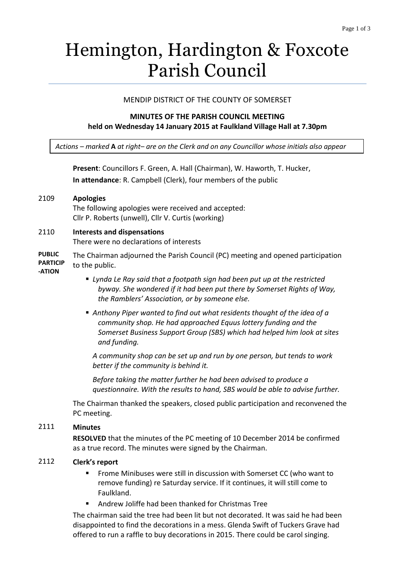# Hemington, Hardington & Foxcote Parish Council

#### MENDIP DISTRICT OF THE COUNTY OF SOMERSET

#### **MINUTES OF THE PARISH COUNCIL MEETING held on Wednesday 14 January 2015 at Faulkland Village Hall at 7.30pm**

*Actions – marked* **A** *at right– are on the Clerk and on any Councillor whose initials also appear*

**Present**: Councillors F. Green, A. Hall (Chairman), W. Haworth, T. Hucker, **In attendance**: R. Campbell (Clerk), four members of the public

#### 2109 **Apologies**

The following apologies were received and accepted: Cllr P. Roberts (unwell), Cllr V. Curtis (working)

#### 2110 **Interests and dispensations**

There were no declarations of interests

**PUBLIC PARTICIP** The Chairman adjourned the Parish Council (PC) meeting and opened participation to the public.

#### **-ATION**

- *Lynda Le Ray said that a footpath sign had been put up at the restricted byway. She wondered if it had been put there by Somerset Rights of Way, the Ramblers' Association, or by someone else.*
- *Anthony Piper wanted to find out what residents thought of the idea of a community shop. He had approached Equus lottery funding and the Somerset Business Support Group (SBS) which had helped him look at sites and funding.*

*A community shop can be set up and run by one person, but tends to work better if the community is behind it.*

*Before taking the matter further he had been advised to produce a questionnaire. With the results to hand, SBS would be able to advise further.* 

The Chairman thanked the speakers, closed public participation and reconvened the PC meeting.

#### 2111 **Minutes**

**RESOLVED** that the minutes of the PC meeting of 10 December 2014 be confirmed as a true record. The minutes were signed by the Chairman.

#### 2112 **Clerk's report**

- **FROME Minibuses were still in discussion with Somerset CC (who want to** remove funding) re Saturday service. If it continues, it will still come to Faulkland.
- Andrew Joliffe had been thanked for Christmas Tree

The chairman said the tree had been lit but not decorated. It was said he had been disappointed to find the decorations in a mess. Glenda Swift of Tuckers Grave had offered to run a raffle to buy decorations in 2015. There could be carol singing.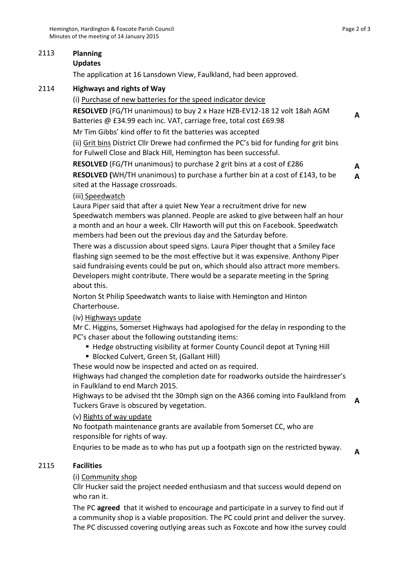# 2113 **Planning**

# **Updates**

The application at 16 Lansdown View, Faulkland, had been approved.

# 2114 **Highways and rights of Way**

#### (i) Purchase of new batteries for the speed indicator device

**RESOLVED** (FG/TH unanimous) to buy 2 x Haze HZB-EV12-18 12 volt 18ah AGM Batteries @ £34.99 each inc. VAT, carriage free, total cost £69.98

Mr Tim Gibbs' kind offer to fit the batteries was accepted

(ii) Grit bins District Cllr Drewe had confirmed the PC's bid for funding for grit bins for Fulwell Close and Black Hill, Hemington has been successful.

**RESOLVED** (FG/TH unanimous) to purchase 2 grit bins at a cost of £286

**RESOLVED (**WH/TH unanimous) to purchase a further bin at a cost of £143, to be sited at the Hassage crossroads.

# (iii) Speedwatch

Laura Piper said that after a quiet New Year a recruitment drive for new Speedwatch members was planned. People are asked to give between half an hour a month and an hour a week. Cllr Haworth will put this on Facebook. Speedwatch members had been out the previous day and the Saturday before.

There was a discussion about speed signs. Laura Piper thought that a Smiley face flashing sign seemed to be the most effective but it was expensive. Anthony Piper said fundraising events could be put on, which should also attract more members. Developers might contribute. There would be a separate meeting in the Spring about this.

Norton St Philip Speedwatch wants to liaise with Hemington and Hinton Charterhouse.

# (iv) Highways update

Mr C. Higgins, Somerset Highways had apologised for the delay in responding to the PC's chaser about the following outstanding items:

- Hedge obstructing visibility at former County Council depot at Tyning Hill
- **Blocked Culvert, Green St, (Gallant Hill)**

These would now be inspected and acted on as required.

Highways had changed the completion date for roadworks outside the hairdresser's in Faulkland to end March 2015.

Highways to be advised tht the 30mph sign on the A366 coming into Faulkland from Tuckers Grave is obscured by vegetation.

#### (v) Rights of way update

No footpath maintenance grants are available from Somerset CC, who are responsible for rights of way.

Enquries to be made as to who has put up a footpath sign on the restricted byway.

# 2115 **Facilities**

# (i) Community shop

Cllr Hucker said the project needed enthusiasm and that success would depend on who ran it.

The PC **agreed** that it wished to encourage and participate in a survey to find out if a community shop is a viable proposition. The PC could print and deliver the survey. The PC discussed covering outlying areas such as Foxcote and how ithe survey could

**A**

**A A**

**A**

**A**